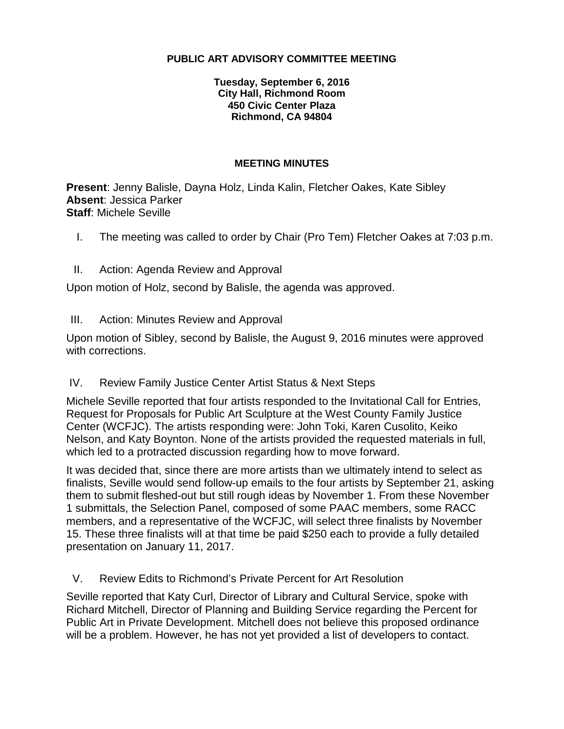### **PUBLIC ART ADVISORY COMMITTEE MEETING**

### **Tuesday, September 6, 2016 City Hall, Richmond Room 450 Civic Center Plaza Richmond, CA 94804**

#### **MEETING MINUTES**

**Present**: Jenny Balisle, Dayna Holz, Linda Kalin, Fletcher Oakes, Kate Sibley **Absent**: Jessica Parker **Staff**: Michele Seville

I. The meeting was called to order by Chair (Pro Tem) Fletcher Oakes at 7:03 p.m.

### II. Action: Agenda Review and Approval

Upon motion of Holz, second by Balisle, the agenda was approved.

III. Action: Minutes Review and Approval

Upon motion of Sibley, second by Balisle, the August 9, 2016 minutes were approved with corrections.

### IV. Review Family Justice Center Artist Status & Next Steps

Michele Seville reported that four artists responded to the Invitational Call for Entries, Request for Proposals for Public Art Sculpture at the West County Family Justice Center (WCFJC). The artists responding were: John Toki, Karen Cusolito, Keiko Nelson, and Katy Boynton. None of the artists provided the requested materials in full, which led to a protracted discussion regarding how to move forward.

It was decided that, since there are more artists than we ultimately intend to select as finalists, Seville would send follow-up emails to the four artists by September 21, asking them to submit fleshed-out but still rough ideas by November 1. From these November 1 submittals, the Selection Panel, composed of some PAAC members, some RACC members, and a representative of the WCFJC, will select three finalists by November 15. These three finalists will at that time be paid \$250 each to provide a fully detailed presentation on January 11, 2017.

### V. Review Edits to Richmond's Private Percent for Art Resolution

Seville reported that Katy Curl, Director of Library and Cultural Service, spoke with Richard Mitchell, Director of Planning and Building Service regarding the Percent for Public Art in Private Development. Mitchell does not believe this proposed ordinance will be a problem. However, he has not yet provided a list of developers to contact.